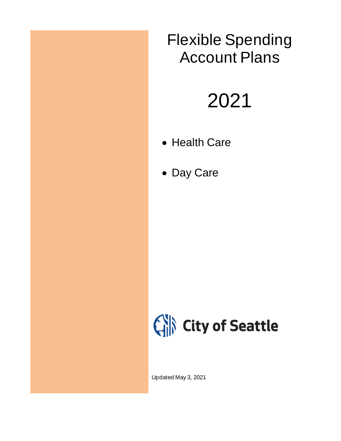## Flexible Spending Account Plans

# 2021

- Health Care
- Day Care



Updated May 3, 2021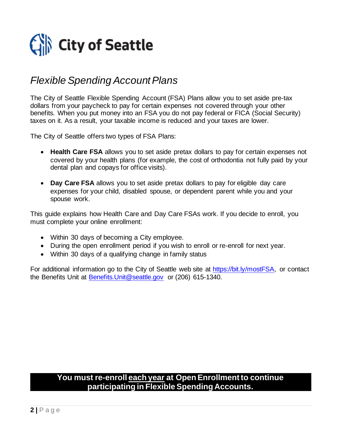

## *Flexible Spending Account Plans*

The City of Seattle Flexible Spending Account (FSA) Plans allow you to set aside pre-tax dollars from your paycheck to pay for certain expenses not covered through your other benefits. When you put money into an FSA you do not pay federal or FICA (Social Security) taxes on it. As a result, your taxable income is reduced and your taxes are lower.

The City of Seattle offers two types of FSA Plans:

- **Health Care FSA** allows you to set aside pretax dollars to pay for certain expenses not covered by your health plans (for example, the cost of orthodontia not fully paid by your dental plan and copays for office visits).
- **Day Care FSA** allows you to set aside pretax dollars to pay for eligible day care expenses for your child, disabled spouse, or dependent parent while you and your spouse work.

This guide explains how Health Care and Day Care FSAs work. If you decide to enroll, you must complete your online enrollment:

- Within 30 days of becoming a City employee.
- During the open enrollment period if you wish to enroll or re-enroll for next year.
- Within 30 days of a qualifying change in family status

For additional information go to the City of Seattle web site at [https://bit.ly/mostFSA,](https://bit.ly/mostFSA) or contact the Benefits Unit at [Benefits.Unit@seattle.gov](mailto:Benefits.Unit@seattle.gov) or (206) 615-1340.

#### **You must re-enroll each year at Open Enrollment to continue participating in Flexible Spending Accounts.**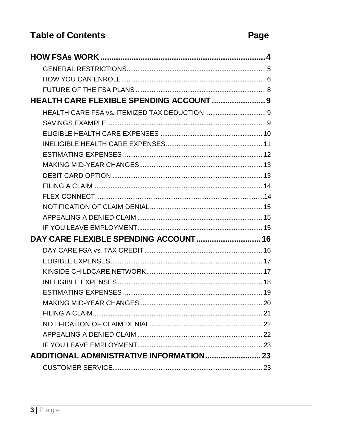### **Table of Contents**

| HEALTH CARE FLEXIBLE SPENDING ACCOUNT  9 |  |
|------------------------------------------|--|
|                                          |  |
|                                          |  |
|                                          |  |
|                                          |  |
|                                          |  |
|                                          |  |
|                                          |  |
|                                          |  |
|                                          |  |
|                                          |  |
|                                          |  |
|                                          |  |
| DAY CARE FLEXIBLE SPENDING ACCOUNT 16    |  |
|                                          |  |
|                                          |  |
|                                          |  |
|                                          |  |
|                                          |  |
|                                          |  |
|                                          |  |
|                                          |  |
|                                          |  |
|                                          |  |
|                                          |  |
|                                          |  |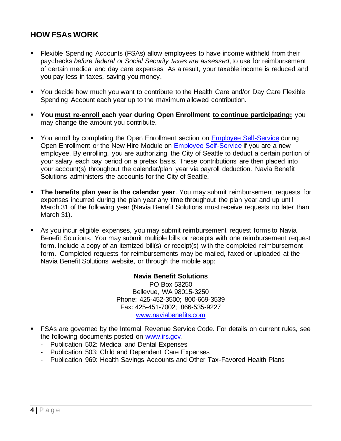#### <span id="page-3-0"></span>**HOW FSAs WORK**

- Flexible Spending Accounts (FSAs) allow employees to have income withheld from their paychecks *before federal or Social Security taxes are assessed*, to use for reimbursement of certain medical and day care expenses. As a result, your taxable income is reduced and you pay less in taxes, saving you money.
- You decide how much you want to contribute to the Health Care and/or Day Care Flexible Spending Account each year up to the maximum allowed contribution.
- You must re-enroll each year during Open Enrollment to continue participating; you may change the amount you contribute.
- You enroll by completing the Open Enrollment section on [Employee Self-Service](http://selfservice.ci.seattle.wa.us/) during Open Enrollment or the New Hire Module on [Employee Self-Service](http://selfservice.ci.seattle.wa.us/) if you are a new employee. By enrolling, you are authorizing the City of Seattle to deduct a certain portion of your salary each pay period on a pretax basis. These contributions are then placed into your account(s) throughout the calendar/plan year via payroll deduction. Navia Benefit Solutions administers the accounts for the City of Seattle.
- **The benefits plan year is the calendar year**. You may submit reimbursement requests for expenses incurred during the plan year any time throughout the plan year and up until March 31 of the following year (Navia Benefit Solutions must receive requests no later than March 31).
- As you incur eligible expenses, you may submit reimbursement request forms to Navia Benefit Solutions. You may submit multiple bills or receipts with one reimbursement request form. Include a copy of an itemized bill(s) or receipt(s) with the completed reimbursement form. Completed requests for reimbursements may be mailed, faxed or uploaded at the Navia Benefit Solutions website, or through the mobile app:

#### **Navia Benefit Solutions**

PO Box 53250 Bellevue, WA 98015-3250 Phone: 425-452-3500; 800-669-3539 Fax: 425-451-7002; 866-535-9227 [www.naviabenefits.com](http://www.naviabenefits.com/)

- FSAs are governed by the Internal Revenue Service Code. For details on current rules, see the following documents posted on [www.irs.gov.](http://www.irs.gov/)
	- Publication 502: Medical and Dental Expenses
	- Publication 503: Child and Dependent Care Expenses
	- Publication 969: Health Savings Accounts and Other Tax-Favored Health Plans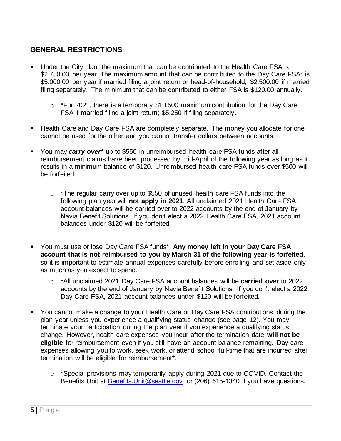#### <span id="page-4-0"></span>**GENERAL RESTRICTIONS**

- Under the City plan, the maximum that can be contributed to the Health Care FSA is \$2,750.00 per year. The maximum amount that can be contributed to the Day Care FSA\* is \$5,000.00 per year if married filing a joint return or head-of-household; \$2,500.00 if married filing separately. The minimum that can be contributed to either FSA is \$120.00 annually.
	- $\circ$  \*For 2021, there is a temporary \$10,500 maximum contribution for the Day Care FSA if married filing a joint return; \$5,250 if filing separately.
- Health Care and Day Care FSA are completely separate. The money you allocate for one cannot be used for the other and you cannot transfer dollars between accounts.
- You may *carry over*<sup>\*</sup> up to \$550 in unreimbursed health care FSA funds after all reimbursement claims have been processed by mid-April of the following year as long as it results in a minimum balance of \$120. Unreimbursed health care FSA funds over \$500 will be forfeited.
	- $\circ$  \*The regular carry over up to \$550 of unused health care FSA funds into the following plan year will **not apply in 2021**. All unclaimed 2021 Health Care FSA account balances will be carried over to 2022 accounts by the end of January by Navia Benefit Solutions. If you don't elect a 2022 Health Care FSA, 2021 account balances under \$120 will be forfeited.
- You must use or lose Day Care FSA funds\*. **Any money left in your Day Care FSA account that is not reimbursed to you by March 31 of the following year is forfeited**, so it is important to estimate annual expenses carefully before enrolling and set aside only as much as you expect to spend.
	- o \*All unclaimed 2021 Day Care FSA account balances will be **carried over** to 2022 accounts by the end of January by Navia Benefit Solutions. If you don't elect a 2022 Day Care FSA, 2021 account balances under \$120 will be forfeited.
- You cannot make a change to your Health Care or Day Care FSA contributions during the plan year unless you experience a qualifying status change (see page 12). You may terminate your participation during the plan year if you experience a qualifying status change. However, health care expenses you incur after the termination date **will not be eligible** for reimbursement even if you still have an account balance remaining. Day care expenses allowing you to work, seek work, or attend school full-time that are incurred after termination will be eligible for reimbursement\*.
	- o \*Special provisions may temporarily apply during 2021 due to COVID. Contact the Benefits Unit at [Benefits.Unit@seattle.gov](mailto:Benefits.Unit@seattle.gov) or (206) 615-1340 if you have questions.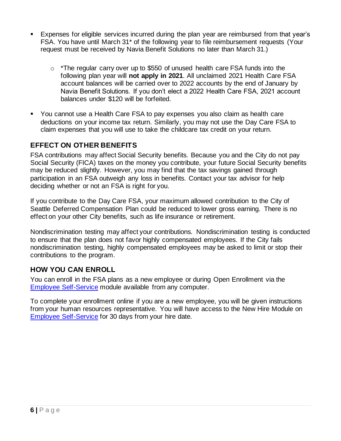- Expenses for eligible services incurred during the plan year are reimbursed from that year's FSA. You have until March 31\* of the following year to file reimbursement requests (Your request must be received by Navia Benefit Solutions no later than March 31.)
	- $\circ$  \*The regular carry over up to \$550 of unused health care FSA funds into the following plan year will **not apply in 2021**. All unclaimed 2021 Health Care FSA account balances will be carried over to 2022 accounts by the end of January by Navia Benefit Solutions. If you don't elect a 2022 Health Care FSA, 2021 account balances under \$120 will be forfeited.
- You cannot use a Health Care FSA to pay expenses you also claim as health care deductions on your income tax return. Similarly, you may not use the Day Care FSA to claim expenses that you will use to take the childcare tax credit on your return.

#### **EFFECT ON OTHER BENEFITS**

FSA contributions may affect Social Security benefits. Because you and the City do not pay Social Security (FICA) taxes on the money you contribute, your future Social Security benefits may be reduced slightly. However, you may find that the tax savings gained through participation in an FSA outweigh any loss in benefits. Contact your tax advisor for help deciding whether or not an FSA is right for you.

If you contribute to the Day Care FSA, your maximum allowed contribution to the City of Seattle Deferred Compensation Plan could be reduced to lower gross earning. There is no effect on your other City benefits, such as life insurance or retirement.

Nondiscrimination testing may affect your contributions. Nondiscrimination testing is conducted to ensure that the plan does not favor highly compensated employees. If the City fails nondiscrimination testing, highly compensated employees may be asked to limit or stop their contributions to the program.

#### <span id="page-5-0"></span>**HOW YOU CAN ENROLL**

You can enroll in the FSA plans as a new employee or during Open Enrollment via the [Employee Self-Service](https://ess.seattle.gov/) module available from any computer.

To complete your enrollment online if you are a new employee, you will be given instructions from your human resources representative. You will have access to the New Hire Module on [Employee Self-Service](https://ess.seattle.gov/) for 30 days from your hire date.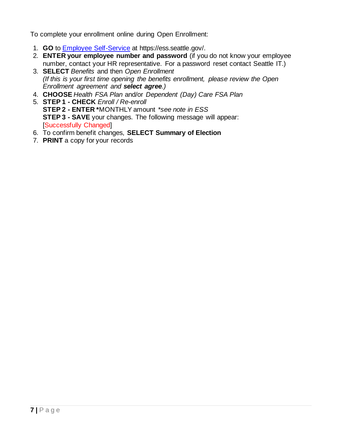To complete your enrollment online during Open Enrollment:

- 1. **GO** to [Employee Self-Service](https://ess.seattle.gov/) at https://ess.seattle.gov/.
- 2. **ENTER your employee number and password** (if you do not know your employee number, contact your HR representative. For a password reset contact Seattle IT.)
- 3. **SELECT** *Benefits* and then *Open Enrollment (If this is your first time opening the benefits enrollment, please review the Open Enrollment agreement and select agree.)*
- 4. **CHOOSE** *Health FSA Plan* and/or *Dependent (Day) Care FSA Plan*
- 5. **STEP 1 - CHECK** *Enroll / Re-enroll* **STEP 2 - ENTER \***MONTHLY amount *\*see note in ESS* **STEP 3 - SAVE** your changes. The following message will appear: [Successfully Changed]
- 6. To confirm benefit changes, **SELECT Summary of Election**
- 7. **PRINT** a copy for your records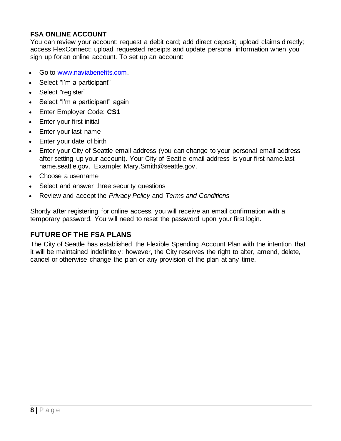#### **FSA ONLINE ACCOUNT**

You can review your account; request a debit card; add direct deposit; upload claims directly; access FlexConnect; upload requested receipts and update personal information when you sign up for an online account. To set up an account:

- Go to [www.naviabenefits.com.](http://www.naviabenefits.com/)
- Select "I'm a participant"
- Select "register"
- Select "I'm a participant" again
- Enter Employer Code: **CS1**
- Enter your first initial
- Enter your last name
- Enter your date of birth
- Enter your City of Seattle email address (you can change to your personal email address after setting up your account). Your City of Seattle email address is your first name.last name.seattle.gov. Example: Mary.Smith@seattle.gov.
- Choose a username
- Select and answer three security questions
- Review and accept the *Privacy Policy* and *Terms and Conditions*

Shortly after registering for online access, you will receive an email confirmation with a temporary password. You will need to reset the password upon your first login.

#### <span id="page-7-0"></span>**FUTURE OF THE FSA PLANS**

The City of Seattle has established the Flexible Spending Account Plan with the intention that it will be maintained indefinitely; however, the City reserves the right to alter, amend, delete, cancel or otherwise change the plan or any provision of the plan at any time.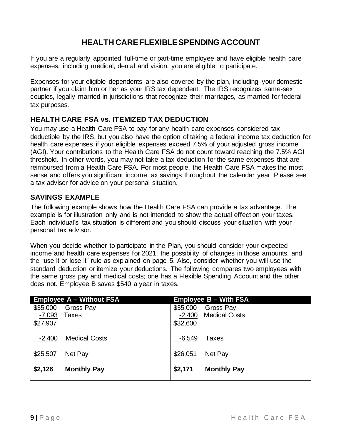#### **HEALTH CARE FLEXIBLE SPENDING ACCOUNT**

<span id="page-8-0"></span>If you are a regularly appointed full-time or part-time employee and have eligible health care expenses, including medical, dental and vision, you are eligible to participate.

Expenses for your eligible dependents are also covered by the plan, including your domestic partner if you claim him or her as your IRS tax dependent. The IRS recognizes same-sex couples, legally married in jurisdictions that recognize their marriages, as married for federal tax purposes.

#### <span id="page-8-1"></span>**HEALTH CARE FSA vs. ITEMIZED TAX DEDUCTION**

You may use a Health Care FSA to pay for any health care expenses considered tax deductible by the IRS, but you also have the option of taking a federal income tax deduction for health care expenses if your eligible expenses exceed 7.5% of your adjusted gross income (AGI). Your contributions to the Health Care FSA do not count toward reaching the 7.5% AGI threshold. In other words, you may not take a tax deduction for the same expenses that are reimbursed from a Health Care FSA. For most people, the Health Care FSA makes the most sense and offers you significant income tax savings throughout the calendar year. Please see a tax advisor for advice on your personal situation.

#### <span id="page-8-2"></span>**SAVINGS EXAMPLE**

The following example shows how the Health Care FSA can provide a tax advantage. The example is for illustration only and is not intended to show the actual effect on your taxes. Each individual's tax situation is different and you should discuss your situation with your personal tax advisor.

When you decide whether to participate in the Plan, you should consider your expected income and health care expenses for 2021, the possibility of changes in those amounts, and the "use it or lose it" rule as explained on page 5. Also, consider whether you will use the standard deduction or itemize your deductions. The following compares two employees with the same gross pay and medical costs; one has a Flexible Spending Account and the other does not. Employee B saves \$540 a year in taxes.

| <b>Employee A - Without FSA</b> |                      | <b>Employee B - With FSA</b> |                      |
|---------------------------------|----------------------|------------------------------|----------------------|
| \$35,000                        | Gross Pay            | \$35,000                     | Gross Pay            |
| $-7,093$                        | <b>Taxes</b>         | $-2,400$                     | <b>Medical Costs</b> |
| \$27,907                        |                      | \$32,600                     |                      |
|                                 |                      |                              |                      |
| $-2,400$                        | <b>Medical Costs</b> | $-6,549$                     | Taxes                |
| \$25,507                        | Net Pay              | \$26,051                     | Net Pay              |
|                                 |                      |                              |                      |
| \$2,126                         | <b>Monthly Pay</b>   | \$2,171                      | <b>Monthly Pay</b>   |
|                                 |                      |                              |                      |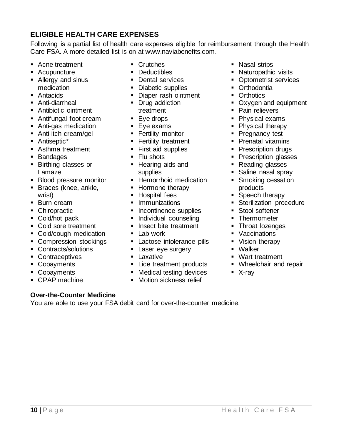#### <span id="page-9-0"></span>**ELIGIBLE HEALTH CARE EXPENSES**

Following is a partial list of health care expenses eligible for reimbursement through the Health Care FSA. A more detailed list is on at www.naviabenefits.com.

- Acne treatment
- Acupuncture
- Allergy and sinus medication
- Antacids
- Anti-diarrheal
- Antibiotic ointment
- Antifungal foot cream
- **E** Anti-gas medication
- Anti-itch cream/gel
- Antiseptic<sup>\*</sup>
- Asthma treatment
- Bandages
- Birthing classes or Lamaze
- Blood pressure monitor
- Braces (knee, ankle, wrist)
- Burn cream
- Chiropractic
- Cold/hot pack
- Cold sore treatment
- Cold/cough medication
- Compression stockings
- Contracts/solutions
- Contraceptives
- Copayments
- Copayments
- CPAP machine
- Crutches
- Deductibles
- Dental services
- Diabetic supplies
- Diaper rash ointment
- Drug addiction treatment
- Eye drops
- Eye exams
- **Example 1** Fertility monitor
- **Example Fertility treatment**
- First aid supplies
- Flu shots
- Hearing aids and supplies
- **EXECUTE:** Hemorrhoid medication
- Hormone therapy
- Hospital fees
- **·** Immunizations
- Incontinence supplies
- **·** Individual counseling
- Insect bite treatment
- $\blacksquare$  Lab work
- **Exercise intolerance pills**
- **Example 1** Laser eye surgery
- **E** Laxative
- Lice treatment products
- Medical testing devices
- **■** Motion sickness relief
- Nasal strips
- Naturopathic visits
- **Optometrist services**
- Orthodontia
- Orthotics
- Oxygen and equipment
- Pain relievers
- Physical exams
- Physical therapy
- Pregnancy test
- Prenatal vitamins
- Prescription drugs
- **Prescription glasses**
- Reading glasses
- Saline nasal spray
- Smoking cessation products
- Speech therapy
- **EXECTE Sterilization procedure**
- Stool softener
- **•** Thermometer
- Throat lozenges
- Vaccinations
- Vision therapy
- Walker
- Wart treatment
- Wheelchair and repair
- X-ray

## **Over-the-Counter Medicine**

You are able to use your FSA debit card for over-the-counter medicine.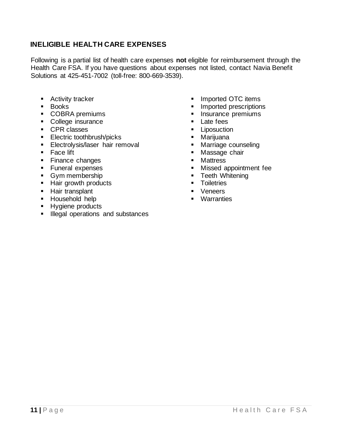#### <span id="page-10-0"></span>**INELIGIBLE HEALTH CARE EXPENSES**

Following is a partial list of health care expenses **not** eligible for reimbursement through the Health Care FSA. If you have questions about expenses not listed, contact Navia Benefit Solutions at 425-451-7002 (toll-free: 800-669-3539).

- Activity tracker
- Books
- COBRA premiums
- College insurance
- CPR classes
- Electric toothbrush/picks
- **Electrolysis/laser hair removal**
- Face lift
- Finance changes
- Funeral expenses
- Gym membership
- Hair growth products
- **E** Hair transplant
- Household help
- Hygiene products
- **EXEC** Illegal operations and substances
- Imported OTC items
- Imported prescriptions
- **·** Insurance premiums
- Late fees
- **Exercise** Liposuction
- Marijuana
- Marriage counseling
- Massage chair
- Mattress
- Missed appointment fee
- Teeth Whitening
- Toiletries
- Veneers
- Warranties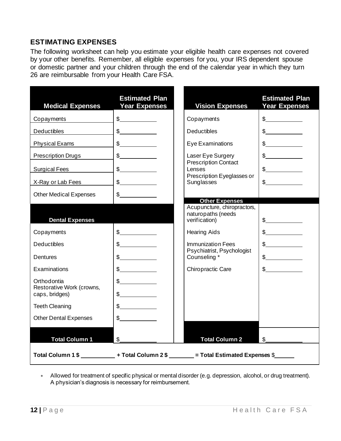#### <span id="page-11-0"></span>**ESTIMATING EXPENSES**

The following worksheet can help you estimate your eligible health care expenses not covered by your other benefits. Remember, all eligible expenses for you, your IRS dependent spouse or domestic partner and your children through the end of the calendar year in which they turn 26 are reimbursable from your Health Care FSA.

| <b>Medical Expenses</b>                  | <b>Estimated Plan</b><br><b>Year Expenses</b> | <b>Vision Expenses</b>                                                                     | <b>Estimated Plan</b><br><b>Year Expenses</b> |
|------------------------------------------|-----------------------------------------------|--------------------------------------------------------------------------------------------|-----------------------------------------------|
| Copayments                               | s                                             | Copayments                                                                                 | $\frac{1}{2}$                                 |
| <b>Deductibles</b>                       | $\frac{1}{2}$                                 | <b>Deductibles</b>                                                                         | $\frac{1}{2}$                                 |
| <b>Physical Exams</b>                    | $\frac{1}{2}$                                 | Eye Examinations                                                                           | $\frac{1}{2}$                                 |
| <b>Prescription Drugs</b>                | $\frac{1}{2}$                                 | Laser Eye Surgery                                                                          | $\frac{1}{2}$                                 |
| <b>Surgical Fees</b>                     | $\frac{1}{2}$                                 | <b>Prescription Contact</b><br>Lenses                                                      | $\frac{1}{2}$                                 |
| X-Ray or Lab Fees                        | s                                             | Prescription Eyeglasses or<br>Sunglasses                                                   | $\frac{1}{2}$                                 |
| <b>Other Medical Expenses</b>            | $\mathbb{S}$                                  | <b>Other Expenses</b>                                                                      |                                               |
| <b>Dental Expenses</b>                   |                                               | Acupuncture, chiropractors,<br>naturopaths (needs<br>verification)                         | $\mathbb{S}$                                  |
| Copayments                               | $\frac{1}{2}$                                 | <b>Hearing Aids</b>                                                                        | $\frac{1}{2}$                                 |
| Deductibles                              | $\mathbb{S}$                                  | <b>Immunization Fees</b>                                                                   | $\mathbb{S}$                                  |
| Dentures                                 | $\mathbb{S}$                                  | Psychiatrist, Psychologist<br>Counseling *                                                 | $\frac{1}{2}$                                 |
| Examinations                             | $\frac{1}{2}$                                 | Chiropractic Care                                                                          | $\frac{1}{2}$                                 |
| Orthodontia<br>Restorative Work (crowns, | $\frac{1}{\sqrt{2}}$                          |                                                                                            |                                               |
| caps, bridges)                           | $\mathbb{S}$                                  |                                                                                            |                                               |
| <b>Teeth Cleaning</b>                    | $\frac{1}{2}$                                 |                                                                                            |                                               |
| <b>Other Dental Expenses</b>             | $\mathbb{S}$                                  |                                                                                            |                                               |
| <b>Total Column 1</b>                    | $\mathfrak{S}$                                | <b>Total Column 2</b>                                                                      | $\mathfrak{S}$                                |
|                                          |                                               | Total Column 1\$ _______________ + Total Column 2\$ ________ = Total Estimated Expenses \$ |                                               |

 Allowed for treatment of specific physical or mental disorder (e.g. depression, alcohol, or drug treatment). A physician's diagnosis is necessary for reimbursement.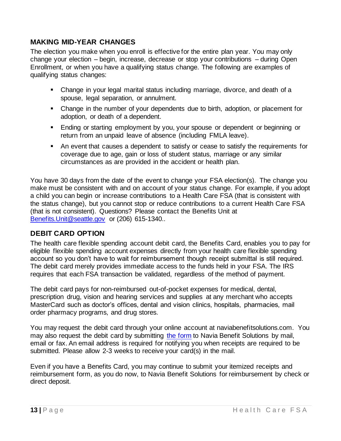#### <span id="page-12-0"></span>**MAKING MID-YEAR CHANGES**

The election you make when you enroll is effective for the entire plan year. You may only change your election – begin, increase, decrease or stop your contributions – during Open Enrollment, or when you have a qualifying status change. The following are examples of qualifying status changes:

- Change in your legal marital status including marriage, divorce, and death of a spouse, legal separation, or annulment.
- Change in the number of your dependents due to birth, adoption, or placement for adoption, or death of a dependent.
- Ending or starting employment by you, your spouse or dependent or beginning or return from an unpaid leave of absence (including FMLA leave).
- An event that causes a dependent to satisfy or cease to satisfy the requirements for coverage due to age, gain or loss of student status, marriage or any similar circumstances as are provided in the accident or health plan.

You have 30 days from the date of the event to change your FSA election(s). The change you make must be consistent with and on account of your status change. For example, if you adopt a child you can begin or increase contributions to a Health Care FSA (that is consistent with the status change), but you cannot stop or reduce contributions to a current Health Care FSA (that is not consistent). Questions? Please contact the Benefits Unit at [Benefits.Unit@seattle.gov](mailto:Benefits.Unit@seattle.gov) or (206) 615-1340..

#### <span id="page-12-1"></span>**DEBIT CARD OPTION**

The health care flexible spending account debit card, the Benefits Card, enables you to pay for eligible flexible spending account expenses directly from your health care flexible spending account so you don't have to wait for reimbursement though receipt submittal is still required. The debit card merely provides immediate access to the funds held in your FSA. The IRS requires that each FSA transaction be validated, regardless of the method of payment.

The debit card pays for non-reimbursed out-of-pocket expenses for medical, dental, prescription drug, vision and hearing services and supplies at any merchant who accepts MasterCard such as doctor's offices, dental and vision clinics, hospitals, pharmacies, mail order pharmacy programs, and drug stores.

You may request the debit card through your online account at naviabenefitsolutions.com. You may also request the debit card by submitting [the form](https://bit.ly/mostFSA) to Navia Benefit Solutions by mail, email or fax. An email address is required for notifying you when receipts are required to be submitted. Please allow 2-3 weeks to receive your card(s) in the mail.

Even if you have a Benefits Card, you may continue to submit your itemized receipts and reimbursement form, as you do now, to Navia Benefit Solutions for reimbursement by check or direct deposit.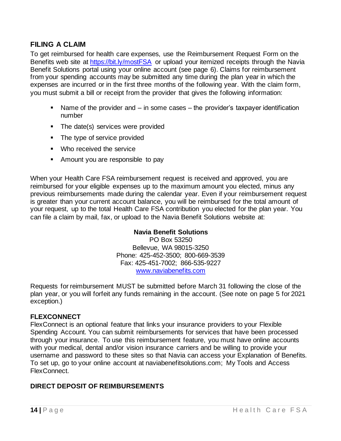#### <span id="page-13-0"></span>**FILING A CLAIM**

To get reimbursed for health care expenses, use the Reimbursement Request Form on the Benefits web site at<https://bit.ly/mostFSA> or upload your itemized receipts through the Navia Benefit Solutions portal using your online account (see page 6). Claims for reimbursement from your spending accounts may be submitted any time during the plan year in which the expenses are incurred or in the first three months of the following year. With the claim form, you must submit a bill or receipt from the provider that gives the following information:

- $\blacksquare$  Name of the provider and  $-$  in some cases  $-$  the provider's taxpayer identification number
- The date(s) services were provided
- The type of service provided
- Who received the service
- Amount you are responsible to pay

When your Health Care FSA reimbursement request is received and approved, you are reimbursed for your eligible expenses up to the maximum amount you elected, minus any previous reimbursements made during the calendar year. Even if your reimbursement request is greater than your current account balance, you will be reimbursed for the total amount of your request, up to the total Health Care FSA contribution you elected for the plan year. You can file a claim by mail, fax, or upload to the Navia Benefit Solutions website at:

#### **Navia Benefit Solutions**

PO Box 53250 Bellevue, WA 98015-3250 Phone: 425-452-3500; 800-669-3539 Fax: 425-451-7002; 866-535-9227 [www.naviabenefits.com](http://www.naviabenefits.com/)

Requests for reimbursement MUST be submitted before March 31 following the close of the plan year, or you will forfeit any funds remaining in the account. (See note on page 5 for 2021 exception.)

#### **FLEXCONNECT**

FlexConnect is an optional feature that links your insurance providers to your Flexible Spending Account. You can submit reimbursements for services that have been processed through your insurance. To use this reimbursement feature, you must have online accounts with your medical, dental and/or vision insurance carriers and be willing to provide your username and password to these sites so that Navia can access your Explanation of Benefits. To set up, go to your online account at naviabenefitsolutions.com; My Tools and Access FlexConnect.

#### **DIRECT DEPOSIT OF REIMBURSEMENTS**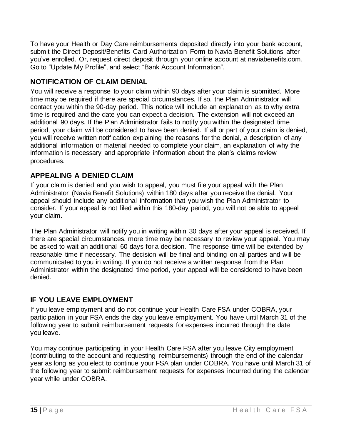To have your Health or Day Care reimbursements deposited directly into your bank account, submit the Direct Deposit/Benefits Card Authorization Form to Navia Benefit Solutions after you've enrolled. Or, request direct deposit through your online account at naviabenefits.com. Go to "Update My Profile", and select "Bank Account Information".

#### <span id="page-14-0"></span>**NOTIFICATION OF CLAIM DENIAL**

You will receive a response to your claim within 90 days after your claim is submitted. More time may be required if there are special circumstances. If so, the Plan Administrator will contact you within the 90-day period. This notice will include an explanation as to why extra time is required and the date you can expect a decision. The extension will not exceed an additional 90 days. If the Plan Administrator fails to notify you within the designated time period, your claim will be considered to have been denied. If all or part of your claim is denied, you will receive written notification explaining the reasons for the denial, a description of any additional information or material needed to complete your claim, an explanation of why the information is necessary and appropriate information about the plan's claims review procedures.

#### <span id="page-14-1"></span>**APPEALING A DENIED CLAIM**

If your claim is denied and you wish to appeal, you must file your appeal with the Plan Administrator (Navia Benefit Solutions) within 180 days after you receive the denial. Your appeal should include any additional information that you wish the Plan Administrator to consider. If your appeal is not filed within this 180-day period, you will not be able to appeal your claim.

The Plan Administrator will notify you in writing within 30 days after your appeal is received. If there are special circumstances, more time may be necessary to review your appeal. You may be asked to wait an additional 60 days for a decision. The response time will be extended by reasonable time if necessary. The decision will be final and binding on all parties and will be communicated to you in writing. If you do not receive a written response from the Plan Administrator within the designated time period, your appeal will be considered to have been denied.

#### <span id="page-14-2"></span>**IF YOU LEAVE EMPLOYMENT**

If you leave employment and do not continue your Health Care FSA under COBRA, your participation in your FSA ends the day you leave employment. You have until March 31 of the following year to submit reimbursement requests for expenses incurred through the date you leave.

You may continue participating in your Health Care FSA after you leave City employment (contributing to the account and requesting reimbursements) through the end of the calendar year as long as you elect to continue your FSA plan under COBRA. You have until March 31 of the following year to submit reimbursement requests for expenses incurred during the calendar year while under COBRA.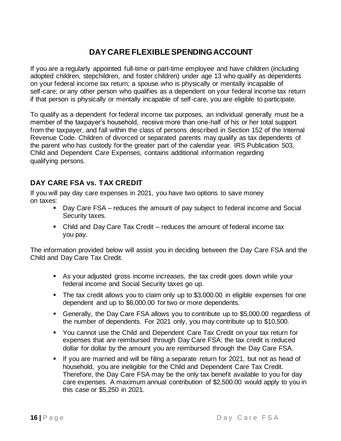#### **DAY CARE FLEXIBLE SPENDING ACCOUNT**

<span id="page-15-0"></span>If you are a regularly appointed full-time or part-time employee and have children (including adopted children, stepchildren, and foster children) under age 13 who qualify as dependents on your federal income tax return; a spouse who is physically or mentally incapable of self-care; or any other person who qualifies as a dependent on your federal income tax return if that person is physically or mentally incapable of self-care, you are eligible to participate.

To qualify as a dependent for federal income tax purposes, an individual generally must be a member of the taxpayer's household, receive more than one-half of his or her total support from the taxpayer, and fall within the class of persons described in Section 152 of the Internal Revenue Code. Children of divorced or separated parents may qualify as tax dependents of the parent who has custody for the greater part of the calendar year. IRS Publication 503, Child and Dependent Care Expenses, contains additional information regarding qualifying persons.

#### <span id="page-15-1"></span>**DAY CARE FSA vs. TAX CREDIT**

If you will pay day care expenses in 2021, you have two options to save money on taxes:

- Day Care FSA reduces the amount of pay subject to federal income and Social Security taxes.
- Child and Day Care Tax Credit reduces the amount of federal income tax you pay.

The information provided below will assist you in deciding between the Day Care FSA and the Child and Day Care Tax Credit.

- As your adjusted gross income increases, the tax credit goes down while your federal income and Social Security taxes go up.
- The tax credit allows you to claim only up to \$3,000.00 in eligible expenses for one dependent and up to \$6,000.00 for two or more dependents.
- Generally, the Day Care FSA allows you to contribute up to \$5,000.00 regardless of the number of dependents. For 2021 only, you may contribute up to \$10,500.
- You cannot use the Child and Dependent Care Tax Credit on your tax return for expenses that are reimbursed through Day Care FSA; the tax credit is reduced dollar for dollar by the amount you are reimbursed through the Day Care FSA.
- **■** If you are married and will be filing a separate return for 2021, but not as head of household, you are ineligible for the Child and Dependent Care Tax Credit. Therefore, the Day Care FSA may be the only tax benefit available to you for day care expenses. A maximum annual contribution of \$2,500.00 would apply to you in this case or \$5,250 in 2021.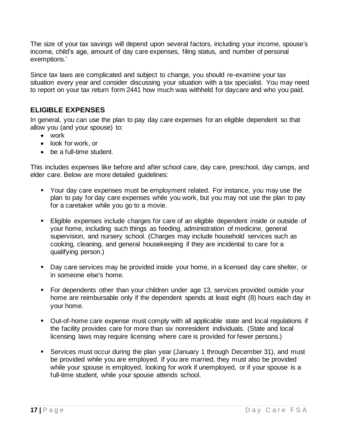The size of your tax savings will depend upon several factors, including your income, spouse's income, child's age, amount of day care expenses, filing status, and number of personal exemptions.'

Since tax laws are complicated and subject to change, you should re-examine your tax situation every year and consider discussing your situation with a tax specialist. You may need to report on your tax return form 2441 how much was withheld for daycare and who you paid.

#### <span id="page-16-0"></span>**ELIGIBLE EXPENSES**

In general, you can use the plan to pay day care expenses for an eligible dependent so that allow you (and your spouse) to:

- work
- look for work, or
- be a full-time student.

This includes expenses like before and after school care, day care, preschool, day camps, and elder care. Below are more detailed guidelines:

- Your day care expenses must be employment related. For instance, you may use the plan to pay for day care expenses while you work, but you may not use the plan to pay for a caretaker while you go to a movie.
- Eligible expenses include charges for care of an eligible dependent inside or outside of your home, including such things as feeding, administration of medicine, general supervision, and nursery school. (Charges may include household services such as cooking, cleaning, and general housekeeping if they are incidental to care for a qualifying person.)
- Day care services may be provided inside your home, in a licensed day care shelter, or in someone else's home.
- For dependents other than your children under age 13, services provided outside your home are reimbursable only if the dependent spends at least eight (8) hours each day in your home.
- Out-of-home care expense must comply with all applicable state and local regulations if the facility provides care for more than six nonresident individuals. (State and local licensing laws may require licensing where care is provided for fewer persons.)
- Services must occur during the plan year (January 1 through December 31), and must be provided while you are employed. If you are married, they must also be provided while your spouse is employed, looking for work if unemployed, or if your spouse is a full-time student, while your spouse attends school.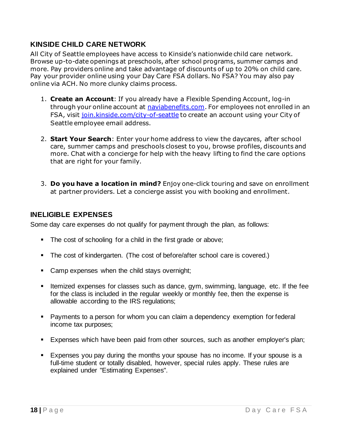#### <span id="page-17-0"></span>**KINSIDE CHILD CARE NETWORK**

All City of Seattle employees have access to Kinside's nationwide child care network. Browse up-to-date openings at preschools, after school programs, summer camps and more. Pay providers online and take advantage of discounts of up to 20% on child care. Pay your provider online using your Day Care FSA dollars. No FSA? You may also pay online via ACH. No more clunky claims process.

- 1. **Create an Account**: If you already have a Flexible Spending Account, log-in through your online account at [naviabenefits.com.](http://www.naviabenefits.com/) For employees not enrolled in an FSA, visit [join.kinside.com/city-of-seattle](http://join.kinside.com/city-of-seattle) to create an account using your City of Seattle employee email address.
- 2. **Start Your Search**: Enter your home address to view the daycares, after school care, summer camps and preschools closest to you, browse profiles, discounts and more. Chat with a concierge for help with the heavy lifting to find the care options that are right for your family.
- 3. **Do you have a location in mind?** Enjoy one-click touring and save on enrollment at partner providers. Let a concierge assist you with booking and enrollment.

#### **INELIGIBLE EXPENSES**

Some day care expenses do not qualify for payment through the plan, as follows:

- The cost of schooling for a child in the first grade or above;
- The cost of kindergarten. (The cost of before/after school care is covered.)
- Camp expenses when the child stays overnight;
- **EXP** Itemized expenses for classes such as dance, gym, swimming, language, etc. If the fee for the class is included in the regular weekly or monthly fee, then the expense is allowable according to the IRS regulations;
- Payments to a person for whom you can claim a dependency exemption for federal income tax purposes;
- **Expenses which have been paid from other sources, such as another employer's plan;**
- Expenses you pay during the months your spouse has no income. If your spouse is a full-time student or totally disabled, however, special rules apply. These rules are explained under "Estimating Expenses".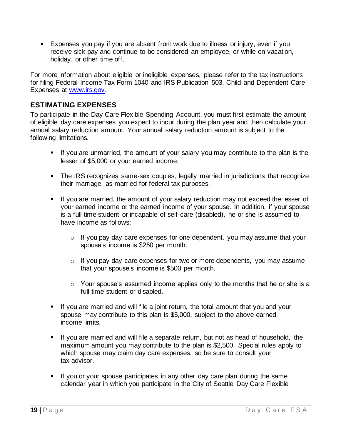▪ Expenses you pay if you are absent from work due to illness or injury, even if you receive sick pay and continue to be considered an employee, or while on vacation, holiday, or other time off.

For more information about eligible or ineligible expenses, please refer to the tax instructions for filing Federal Income Tax Form 1040 and IRS Publication 503, Child and Dependent Care Expenses at [www.irs.gov.](http://www.irs.gov/)

#### <span id="page-18-0"></span>**ESTIMATING EXPENSES**

To participate in the Day Care Flexible Spending Account, you must first estimate the amount of eligible day care expenses you expect to incur during the plan year and then calculate your annual salary reduction amount. Your annual salary reduction amount is subject to the following limitations.

- **.** If you are unmarried, the amount of your salary you may contribute to the plan is the lesser of \$5,000 or your earned income.
- **•** The IRS recognizes same-sex couples, legally married in jurisdictions that recognize their marriage, as married for federal tax purposes.
- **.** If you are married, the amount of your salary reduction may not exceed the lesser of your earned income or the earned income of your spouse. In addition, if your spouse is a full-time student or incapable of self-care (disabled), he or she is assumed to have income as follows:
	- $\circ$  If you pay day care expenses for one dependent, you may assume that your spouse's income is \$250 per month.
	- o If you pay day care expenses for two or more dependents, you may assume that your spouse's income is \$500 per month.
	- o Your spouse's assumed income applies only to the months that he or she is a full-time student or disabled.
- **EXT** If you are married and will file a joint return, the total amount that you and your spouse may contribute to this plan is \$5,000, subject to the above earned income limits.
- **.** If you are married and will file a separate return, but not as head of household, the maximum amount you may contribute to the plan is \$2,500. Special rules apply to which spouse may claim day care expenses, so be sure to consult your tax advisor.
- **■** If you or your spouse participates in any other day care plan during the same calendar year in which you participate in the City of Seattle Day Care Flexible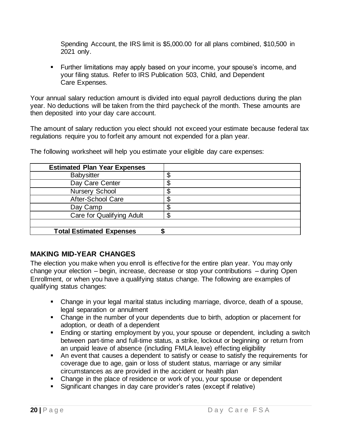Spending Account, the IRS limit is \$5,000.00 for all plans combined, \$10,500 in 2021 only.

■ Further limitations may apply based on your income, your spouse's income, and your filing status. Refer to IRS Publication 503, Child, and Dependent Care Expenses.

Your annual salary reduction amount is divided into equal payroll deductions during the plan year. No deductions will be taken from the third paycheck of the month. These amounts are then deposited into your day care account.

The amount of salary reduction you elect should not exceed your estimate because federal tax regulations require you to forfeit any amount not expended for a plan year.

| <b>Estimated Plan Year Expenses</b> |    |
|-------------------------------------|----|
| <b>Babysitter</b>                   | \$ |
| Day Care Center                     | \$ |
| Nursery School                      | ጥ  |
| After-School Care                   | ጥ  |
| Day Camp                            |    |
| Care for Qualifying Adult           | S  |
|                                     |    |
| <b>Total Estimated Expenses</b>     |    |

The following worksheet will help you estimate your eligible day care expenses:

#### <span id="page-19-0"></span>**MAKING MID-YEAR CHANGES**

The election you make when you enroll is effective for the entire plan year. You may only change your election – begin, increase, decrease or stop your contributions – during Open Enrollment, or when you have a qualifying status change. The following are examples of qualifying status changes:

- Change in your legal marital status including marriage, divorce, death of a spouse, legal separation or annulment
- Change in the number of your dependents due to birth, adoption or placement for adoption, or death of a dependent
- Ending or starting employment by you, your spouse or dependent, including a switch between part-time and full-time status, a strike, lockout or beginning or return from an unpaid leave of absence (including FMLA leave) effecting eligibility
- An event that causes a dependent to satisfy or cease to satisfy the requirements for coverage due to age, gain or loss of student status, marriage or any similar circumstances as are provided in the accident or health plan
- Change in the place of residence or work of you, your spouse or dependent
- Significant changes in day care provider's rates (except if relative)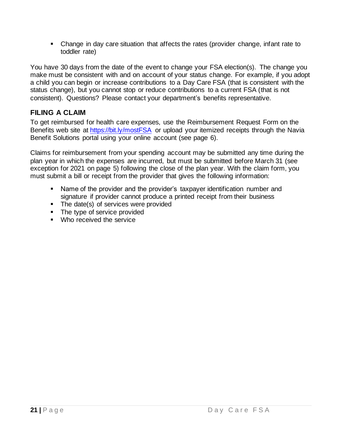▪ Change in day care situation that affects the rates (provider change, infant rate to toddler rate)

You have 30 days from the date of the event to change your FSA election(s). The change you make must be consistent with and on account of your status change. For example, if you adopt a child you can begin or increase contributions to a Day Care FSA (that is consistent with the status change), but you cannot stop or reduce contributions to a current FSA (that is not consistent). Questions? Please contact your department's benefits representative.

#### <span id="page-20-0"></span>**FILING A CLAIM**

To get reimbursed for health care expenses, use the Reimbursement Request Form on the Benefits web site at<https://bit.ly/mostFSA> or upload your itemized receipts through the Navia Benefit Solutions portal using your online account (see page 6).

Claims for reimbursement from your spending account may be submitted any time during the plan year in which the expenses are incurred, but must be submitted before March 31 (see exception for 2021 on page 5) following the close of the plan year. With the claim form, you must submit a bill or receipt from the provider that gives the following information:

- Name of the provider and the provider's taxpayer identification number and signature if provider cannot produce a printed receipt from their business
- The date(s) of services were provided
- The type of service provided
- Who received the service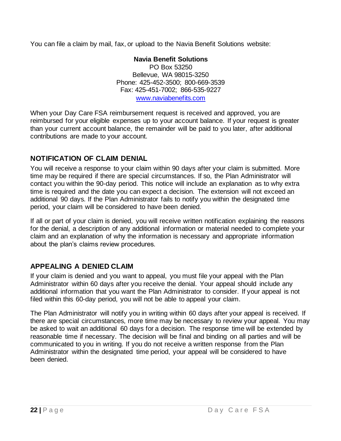You can file a claim by mail, fax, or upload to the Navia Benefit Solutions website:

#### **Navia Benefit Solutions**

PO Box 53250 Bellevue, WA 98015-3250 Phone: 425-452-3500; 800-669-3539 Fax: 425-451-7002; 866-535-9227 [www.naviabenefits.com](http://www.naviabenefits.com/)

When your Day Care FSA reimbursement request is received and approved, you are reimbursed for your eligible expenses up to your account balance. If your request is greater than your current account balance, the remainder will be paid to you later, after additional contributions are made to your account.

#### <span id="page-21-0"></span>**NOTIFICATION OF CLAIM DENIAL**

You will receive a response to your claim within 90 days after your claim is submitted. More time may be required if there are special circumstances. If so, the Plan Administrator will contact you within the 90-day period. This notice will include an explanation as to why extra time is required and the date you can expect a decision. The extension will not exceed an additional 90 days. If the Plan Administrator fails to notify you within the designated time period, your claim will be considered to have been denied.

If all or part of your claim is denied, you will receive written notification explaining the reasons for the denial, a description of any additional information or material needed to complete your claim and an explanation of why the information is necessary and appropriate information about the plan's claims review procedures.

#### <span id="page-21-1"></span>**APPEALING A DENIED CLAIM**

If your claim is denied and you want to appeal, you must file your appeal with the Plan Administrator within 60 days after you receive the denial. Your appeal should include any additional information that you want the Plan Administrator to consider. If your appeal is not filed within this 60-day period, you will not be able to appeal your claim.

The Plan Administrator will notify you in writing within 60 days after your appeal is received. If there are special circumstances, more time may be necessary to review your appeal. You may be asked to wait an additional 60 days for a decision. The response time will be extended by reasonable time if necessary. The decision will be final and binding on all parties and will be communicated to you in writing. If you do not receive a written response from the Plan Administrator within the designated time period, your appeal will be considered to have been denied.